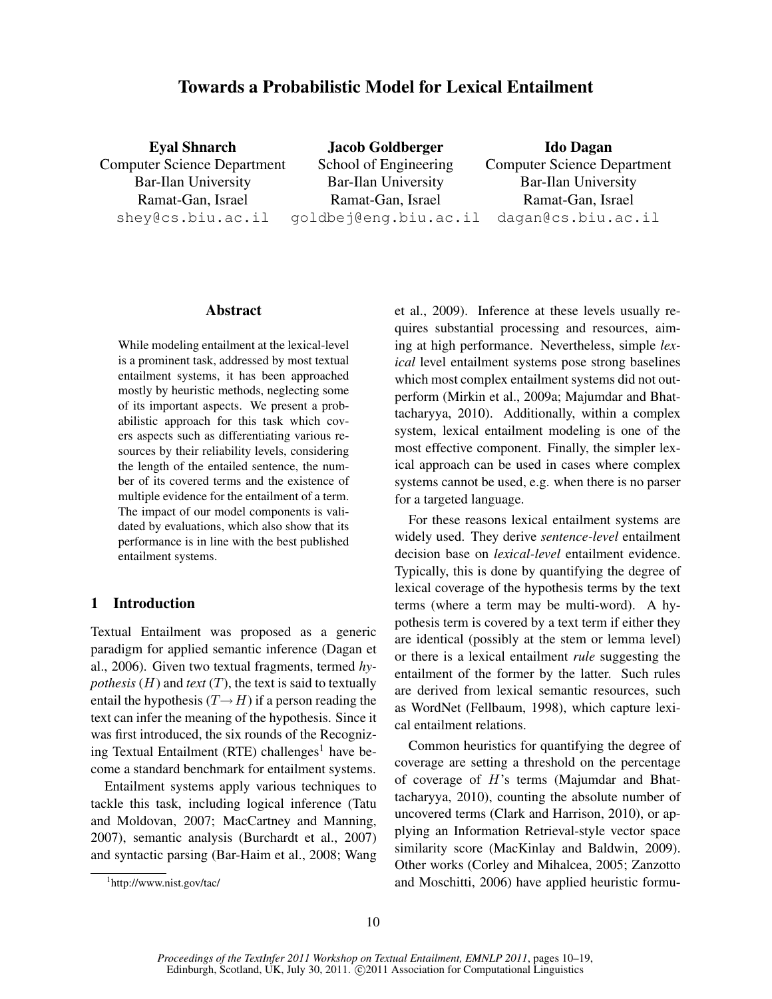# Towards a Probabilistic Model for Lexical Entailment

Eyal Shnarch Computer Science Department Bar-Ilan University Ramat-Gan, Israel shey@cs.biu.ac.il Jacob Goldberger School of Engineering Bar-Ilan University Ramat-Gan, Israel goldbej@eng.biu.ac.il Ido Dagan Computer Science Department Bar-Ilan University Ramat-Gan, Israel dagan@cs.biu.ac.il

### Abstract

While modeling entailment at the lexical-level is a prominent task, addressed by most textual entailment systems, it has been approached mostly by heuristic methods, neglecting some of its important aspects. We present a probabilistic approach for this task which covers aspects such as differentiating various resources by their reliability levels, considering the length of the entailed sentence, the number of its covered terms and the existence of multiple evidence for the entailment of a term. The impact of our model components is validated by evaluations, which also show that its performance is in line with the best published entailment systems.

## 1 Introduction

Textual Entailment was proposed as a generic paradigm for applied semantic inference (Dagan et al., 2006). Given two textual fragments, termed *hypothesis* ( $H$ ) and *text* ( $T$ ), the text is said to textually entail the hypothesis  $(T \rightarrow H)$  if a person reading the text can infer the meaning of the hypothesis. Since it was first introduced, the six rounds of the Recognizing Textual Entailment (RTE) challenges<sup>1</sup> have become a standard benchmark for entailment systems.

Entailment systems apply various techniques to tackle this task, including logical inference (Tatu and Moldovan, 2007; MacCartney and Manning, 2007), semantic analysis (Burchardt et al., 2007) and syntactic parsing (Bar-Haim et al., 2008; Wang

et al., 2009). Inference at these levels usually requires substantial processing and resources, aiming at high performance. Nevertheless, simple *lexical* level entailment systems pose strong baselines which most complex entailment systems did not outperform (Mirkin et al., 2009a; Majumdar and Bhattacharyya, 2010). Additionally, within a complex system, lexical entailment modeling is one of the most effective component. Finally, the simpler lexical approach can be used in cases where complex systems cannot be used, e.g. when there is no parser for a targeted language.

For these reasons lexical entailment systems are widely used. They derive *sentence-level* entailment decision base on *lexical-level* entailment evidence. Typically, this is done by quantifying the degree of lexical coverage of the hypothesis terms by the text terms (where a term may be multi-word). A hypothesis term is covered by a text term if either they are identical (possibly at the stem or lemma level) or there is a lexical entailment *rule* suggesting the entailment of the former by the latter. Such rules are derived from lexical semantic resources, such as WordNet (Fellbaum, 1998), which capture lexical entailment relations.

Common heuristics for quantifying the degree of coverage are setting a threshold on the percentage of coverage of H's terms (Majumdar and Bhattacharyya, 2010), counting the absolute number of uncovered terms (Clark and Harrison, 2010), or applying an Information Retrieval-style vector space similarity score (MacKinlay and Baldwin, 2009). Other works (Corley and Mihalcea, 2005; Zanzotto and Moschitti, 2006) have applied heuristic formu-

<sup>1</sup> http://www.nist.gov/tac/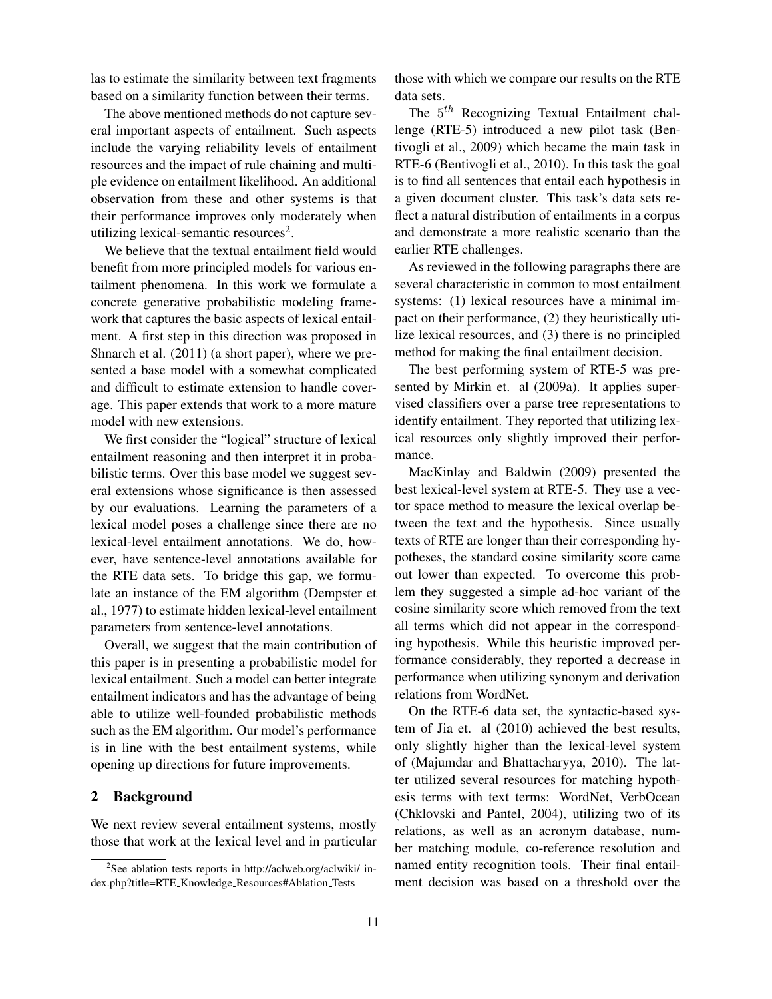las to estimate the similarity between text fragments based on a similarity function between their terms.

The above mentioned methods do not capture several important aspects of entailment. Such aspects include the varying reliability levels of entailment resources and the impact of rule chaining and multiple evidence on entailment likelihood. An additional observation from these and other systems is that their performance improves only moderately when utilizing lexical-semantic resources<sup>2</sup>.

We believe that the textual entailment field would benefit from more principled models for various entailment phenomena. In this work we formulate a concrete generative probabilistic modeling framework that captures the basic aspects of lexical entailment. A first step in this direction was proposed in Shnarch et al. (2011) (a short paper), where we presented a base model with a somewhat complicated and difficult to estimate extension to handle coverage. This paper extends that work to a more mature model with new extensions.

We first consider the "logical" structure of lexical entailment reasoning and then interpret it in probabilistic terms. Over this base model we suggest several extensions whose significance is then assessed by our evaluations. Learning the parameters of a lexical model poses a challenge since there are no lexical-level entailment annotations. We do, however, have sentence-level annotations available for the RTE data sets. To bridge this gap, we formulate an instance of the EM algorithm (Dempster et al., 1977) to estimate hidden lexical-level entailment parameters from sentence-level annotations.

Overall, we suggest that the main contribution of this paper is in presenting a probabilistic model for lexical entailment. Such a model can better integrate entailment indicators and has the advantage of being able to utilize well-founded probabilistic methods such as the EM algorithm. Our model's performance is in line with the best entailment systems, while opening up directions for future improvements.

## 2 Background

We next review several entailment systems, mostly those that work at the lexical level and in particular those with which we compare our results on the RTE data sets.

The  $5<sup>th</sup>$  Recognizing Textual Entailment challenge (RTE-5) introduced a new pilot task (Bentivogli et al., 2009) which became the main task in RTE-6 (Bentivogli et al., 2010). In this task the goal is to find all sentences that entail each hypothesis in a given document cluster. This task's data sets reflect a natural distribution of entailments in a corpus and demonstrate a more realistic scenario than the earlier RTE challenges.

As reviewed in the following paragraphs there are several characteristic in common to most entailment systems: (1) lexical resources have a minimal impact on their performance, (2) they heuristically utilize lexical resources, and (3) there is no principled method for making the final entailment decision.

The best performing system of RTE-5 was presented by Mirkin et. al (2009a). It applies supervised classifiers over a parse tree representations to identify entailment. They reported that utilizing lexical resources only slightly improved their performance.

MacKinlay and Baldwin (2009) presented the best lexical-level system at RTE-5. They use a vector space method to measure the lexical overlap between the text and the hypothesis. Since usually texts of RTE are longer than their corresponding hypotheses, the standard cosine similarity score came out lower than expected. To overcome this problem they suggested a simple ad-hoc variant of the cosine similarity score which removed from the text all terms which did not appear in the corresponding hypothesis. While this heuristic improved performance considerably, they reported a decrease in performance when utilizing synonym and derivation relations from WordNet.

On the RTE-6 data set, the syntactic-based system of Jia et. al (2010) achieved the best results, only slightly higher than the lexical-level system of (Majumdar and Bhattacharyya, 2010). The latter utilized several resources for matching hypothesis terms with text terms: WordNet, VerbOcean (Chklovski and Pantel, 2004), utilizing two of its relations, as well as an acronym database, number matching module, co-reference resolution and named entity recognition tools. Their final entailment decision was based on a threshold over the

<sup>&</sup>lt;sup>2</sup>See ablation tests reports in http://aclweb.org/aclwiki/ index.php?title=RTE Knowledge Resources#Ablation Tests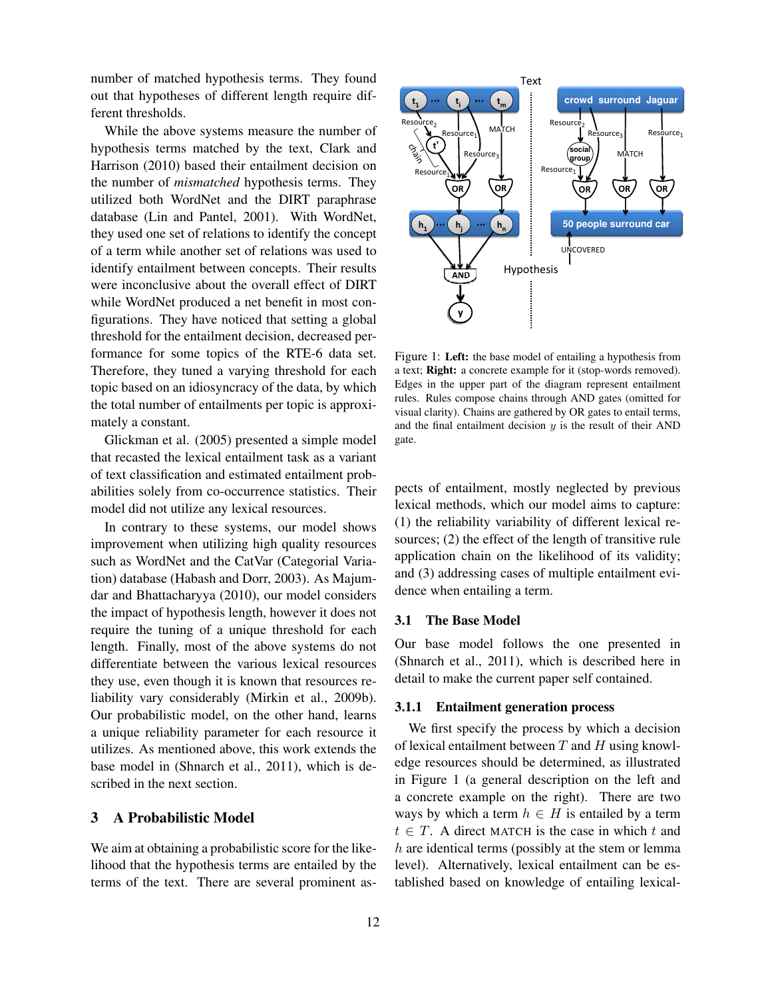number of matched hypothesis terms. They found out that hypotheses of different length require different thresholds.

While the above systems measure the number of hypothesis terms matched by the text, Clark and Harrison (2010) based their entailment decision on the number of *mismatched* hypothesis terms. They utilized both WordNet and the DIRT paraphrase database (Lin and Pantel, 2001). With WordNet, they used one set of relations to identify the concept of a term while another set of relations was used to identify entailment between concepts. Their results were inconclusive about the overall effect of DIRT while WordNet produced a net benefit in most configurations. They have noticed that setting a global threshold for the entailment decision, decreased performance for some topics of the RTE-6 data set. Therefore, they tuned a varying threshold for each topic based on an idiosyncracy of the data, by which the total number of entailments per topic is approximately a constant.

Glickman et al. (2005) presented a simple model that recasted the lexical entailment task as a variant of text classification and estimated entailment probabilities solely from co-occurrence statistics. Their model did not utilize any lexical resources.

In contrary to these systems, our model shows improvement when utilizing high quality resources such as WordNet and the CatVar (Categorial Variation) database (Habash and Dorr, 2003). As Majumdar and Bhattacharyya (2010), our model considers the impact of hypothesis length, however it does not require the tuning of a unique threshold for each length. Finally, most of the above systems do not differentiate between the various lexical resources they use, even though it is known that resources reliability vary considerably (Mirkin et al., 2009b). Our probabilistic model, on the other hand, learns a unique reliability parameter for each resource it utilizes. As mentioned above, this work extends the base model in (Shnarch et al., 2011), which is described in the next section.

## 3 A Probabilistic Model

We aim at obtaining a probabilistic score for the likelihood that the hypothesis terms are entailed by the terms of the text. There are several prominent as-



Figure 1: Left: the base model of entailing a hypothesis from a text; Right: a concrete example for it (stop-words removed). Edges in the upper part of the diagram represent entailment rules. Rules compose chains through AND gates (omitted for visual clarity). Chains are gathered by OR gates to entail terms, and the final entailment decision  $y$  is the result of their AND gate.

pects of entailment, mostly neglected by previous lexical methods, which our model aims to capture: (1) the reliability variability of different lexical resources; (2) the effect of the length of transitive rule application chain on the likelihood of its validity; and (3) addressing cases of multiple entailment evidence when entailing a term.

## 3.1 The Base Model

Our base model follows the one presented in (Shnarch et al., 2011), which is described here in detail to make the current paper self contained.

## 3.1.1 Entailment generation process

We first specify the process by which a decision of lexical entailment between  $T$  and  $H$  using knowledge resources should be determined, as illustrated in Figure 1 (a general description on the left and a concrete example on the right). There are two ways by which a term  $h \in H$  is entailed by a term  $t \in T$ . A direct MATCH is the case in which t and  $h$  are identical terms (possibly at the stem or lemma level). Alternatively, lexical entailment can be established based on knowledge of entailing lexical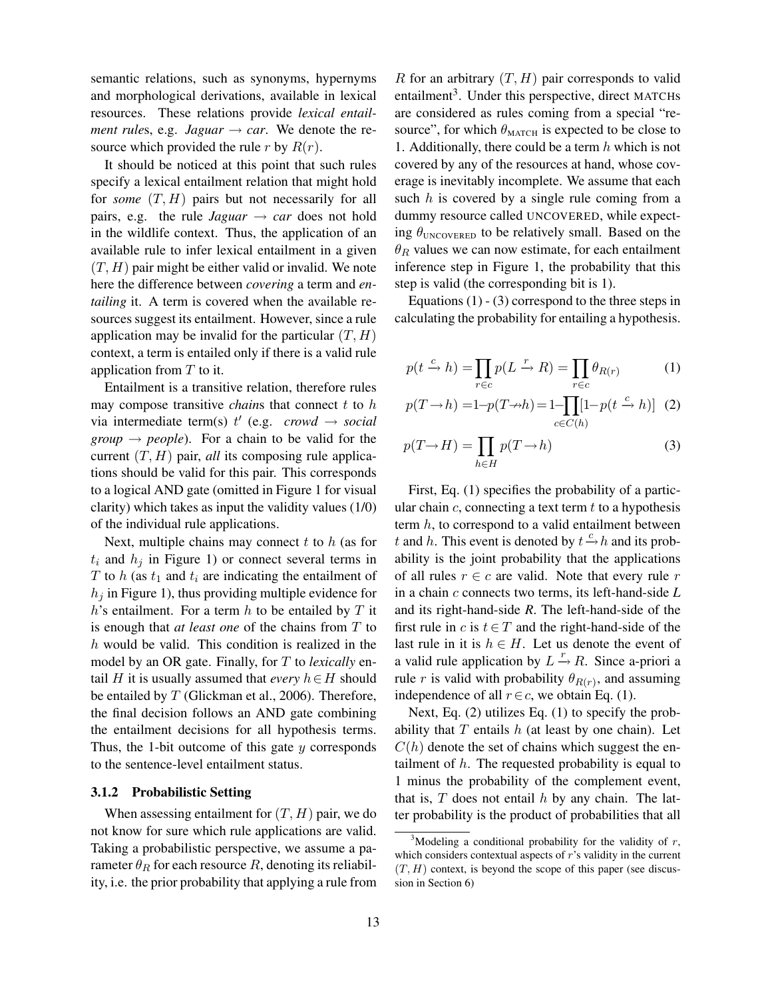semantic relations, such as synonyms, hypernyms and morphological derivations, available in lexical resources. These relations provide *lexical entailment rules, e.g. Jaguar*  $\rightarrow$  *car.* We denote the resource which provided the rule r by  $R(r)$ .

It should be noticed at this point that such rules specify a lexical entailment relation that might hold for *some* (T, H) pairs but not necessarily for all pairs, e.g. the rule *Jaguar*  $\rightarrow$  *car* does not hold in the wildlife context. Thus, the application of an available rule to infer lexical entailment in a given  $(T, H)$  pair might be either valid or invalid. We note here the difference between *covering* a term and *entailing* it. A term is covered when the available resources suggest its entailment. However, since a rule application may be invalid for the particular  $(T, H)$ context, a term is entailed only if there is a valid rule application from  $T$  to it.

Entailment is a transitive relation, therefore rules may compose transitive *chains* that connect  $t$  to  $h$ via intermediate term(s)  $t'$  (e.g. *crowd*  $\rightarrow$  *social group*  $\rightarrow$  *people*). For a chain to be valid for the current  $(T, H)$  pair, *all* its composing rule applications should be valid for this pair. This corresponds to a logical AND gate (omitted in Figure 1 for visual clarity) which takes as input the validity values (1/0) of the individual rule applications.

Next, multiple chains may connect  $t$  to  $h$  (as for  $t_i$  and  $h_j$  in Figure 1) or connect several terms in T to h (as  $t_1$  and  $t_i$  are indicating the entailment of  $h_i$  in Figure 1), thus providing multiple evidence for  $h$ 's entailment. For a term  $h$  to be entailed by  $T$  it is enough that *at least one* of the chains from T to h would be valid. This condition is realized in the model by an OR gate. Finally, for T to *lexically* entail H it is usually assumed that *every*  $h \in H$  should be entailed by T (Glickman et al., 2006). Therefore, the final decision follows an AND gate combining the entailment decisions for all hypothesis terms. Thus, the 1-bit outcome of this gate  $y$  corresponds to the sentence-level entailment status.

#### 3.1.2 Probabilistic Setting

When assessing entailment for  $(T, H)$  pair, we do not know for sure which rule applications are valid. Taking a probabilistic perspective, we assume a parameter  $\theta_R$  for each resource R, denoting its reliability, i.e. the prior probability that applying a rule from R for an arbitrary  $(T, H)$  pair corresponds to valid entailment<sup>3</sup>. Under this perspective, direct MATCHs are considered as rules coming from a special "resource", for which  $\theta_{\text{MATCH}}$  is expected to be close to 1. Additionally, there could be a term  $h$  which is not covered by any of the resources at hand, whose coverage is inevitably incomplete. We assume that each such  $h$  is covered by a single rule coming from a dummy resource called UNCOVERED, while expecting  $\theta_{\text{UNCOVERED}}$  to be relatively small. Based on the  $\theta_R$  values we can now estimate, for each entailment inference step in Figure 1, the probability that this step is valid (the corresponding bit is 1).

Equations  $(1) - (3)$  correspond to the three steps in calculating the probability for entailing a hypothesis.

$$
p(t \xrightarrow{c} h) = \prod_{r \in c} p(L \xrightarrow{r} R) = \prod_{r \in c} \theta_{R(r)} \tag{1}
$$

$$
p(T \to h) = 1 - p(T \to h) = 1 - \prod_{c \in C(h)} [1 - p(t \xrightarrow{c} h)] \tag{2}
$$

$$
p(T \to H) = \prod_{h \in H} p(T \to h)
$$
 (3)

First, Eq. (1) specifies the probability of a particular chain  $c$ , connecting a text term  $t$  to a hypothesis term  $h$ , to correspond to a valid entailment between t and h. This event is denoted by  $t \xrightarrow{c} h$  and its probability is the joint probability that the applications of all rules  $r \in c$  are valid. Note that every rule r in a chain c connects two terms, its left-hand-side *L* and its right-hand-side *R*. The left-hand-side of the first rule in c is  $t \in T$  and the right-hand-side of the last rule in it is  $h \in H$ . Let us denote the event of a valid rule application by  $L \stackrel{r}{\rightarrow} R$ . Since a-priori a rule r is valid with probability  $\theta_{R(r)}$ , and assuming independence of all  $r \∈ c$ , we obtain Eq. (1).

Next, Eq. (2) utilizes Eq. (1) to specify the probability that  $T$  entails  $h$  (at least by one chain). Let  $C(h)$  denote the set of chains which suggest the entailment of  $h$ . The requested probability is equal to 1 minus the probability of the complement event, that is,  $T$  does not entail  $h$  by any chain. The latter probability is the product of probabilities that all

<sup>&</sup>lt;sup>3</sup>Modeling a conditional probability for the validity of  $r$ , which considers contextual aspects of  $r$ 's validity in the current  $(T, H)$  context, is beyond the scope of this paper (see discussion in Section 6)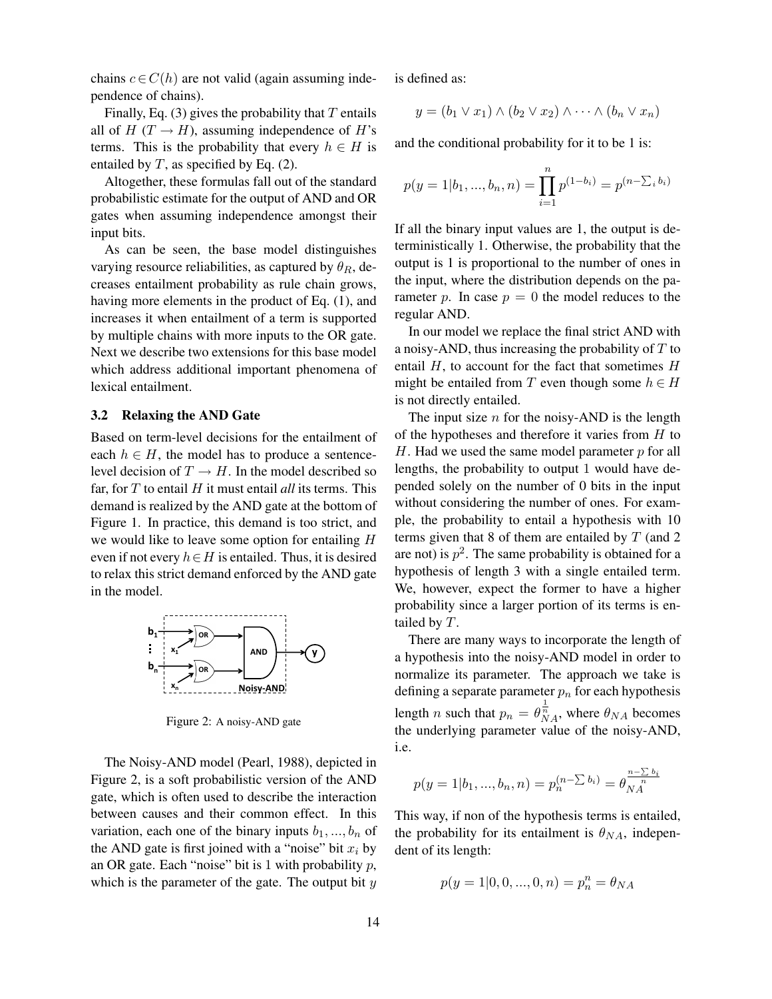chains  $c \in C(h)$  are not valid (again assuming independence of chains).

Finally, Eq. (3) gives the probability that  $T$  entails all of  $H(T \rightarrow H)$ , assuming independence of H's terms. This is the probability that every  $h \in H$  is entailed by  $T$ , as specified by Eq. (2).

Altogether, these formulas fall out of the standard probabilistic estimate for the output of AND and OR gates when assuming independence amongst their input bits.

As can be seen, the base model distinguishes varying resource reliabilities, as captured by  $\theta_R$ , decreases entailment probability as rule chain grows, having more elements in the product of Eq. (1), and increases it when entailment of a term is supported by multiple chains with more inputs to the OR gate. Next we describe two extensions for this base model which address additional important phenomena of lexical entailment.

## 3.2 Relaxing the AND Gate

Based on term-level decisions for the entailment of each  $h \in H$ , the model has to produce a sentencelevel decision of  $T \to H$ . In the model described so far, for  $T$  to entail  $H$  it must entail *all* its terms. This demand is realized by the AND gate at the bottom of Figure 1. In practice, this demand is too strict, and we would like to leave some option for entailing  $H$ even if not every  $h \in H$  is entailed. Thus, it is desired to relax this strict demand enforced by the AND gate in the model.



Figure 2: A noisy-AND gate

The Noisy-AND model (Pearl, 1988), depicted in Figure 2, is a soft probabilistic version of the AND gate, which is often used to describe the interaction between causes and their common effect. In this variation, each one of the binary inputs  $b_1, ..., b_n$  of the AND gate is first joined with a "noise" bit  $x_i$  by an OR gate. Each "noise" bit is 1 with probability  $p$ , which is the parameter of the gate. The output bit  $y$ 

is defined as:

$$
y = (b_1 \vee x_1) \wedge (b_2 \vee x_2) \wedge \cdots \wedge (b_n \vee x_n)
$$

and the conditional probability for it to be 1 is:

$$
p(y = 1|b_1, ..., b_n, n) = \prod_{i=1}^n p^{(1-b_i)} = p^{(n-\sum_i b_i)}
$$

If all the binary input values are 1, the output is deterministically 1. Otherwise, the probability that the output is 1 is proportional to the number of ones in the input, where the distribution depends on the parameter p. In case  $p = 0$  the model reduces to the regular AND.

In our model we replace the final strict AND with a noisy-AND, thus increasing the probability of  $T$  to entail  $H$ , to account for the fact that sometimes  $H$ might be entailed from T even though some  $h \in H$ is not directly entailed.

The input size  $n$  for the noisy-AND is the length of the hypotheses and therefore it varies from  $H$  to  $H$ . Had we used the same model parameter  $p$  for all lengths, the probability to output 1 would have depended solely on the number of 0 bits in the input without considering the number of ones. For example, the probability to entail a hypothesis with 10 terms given that 8 of them are entailed by  $T$  (and 2) are not) is  $p^2$ . The same probability is obtained for a hypothesis of length 3 with a single entailed term. We, however, expect the former to have a higher probability since a larger portion of its terms is entailed by T.

There are many ways to incorporate the length of a hypothesis into the noisy-AND model in order to normalize its parameter. The approach we take is defining a separate parameter  $p_n$  for each hypothesis length *n* such that  $p_n = \theta_{NA}^{\frac{1}{n}}$ , where  $\theta_{NA}$  becomes the underlying parameter value of the noisy-AND, i.e.

$$
p(y = 1|b_1, ..., b_n, n) = p_n^{(n - \sum b_i)} = \theta_{NA}^{\frac{n - \sum b_i}{n}}
$$

This way, if non of the hypothesis terms is entailed, the probability for its entailment is  $\theta_{NA}$ , independent of its length:

$$
p(y = 1|0, 0, ..., 0, n) = p_n^n = \theta_{NA}
$$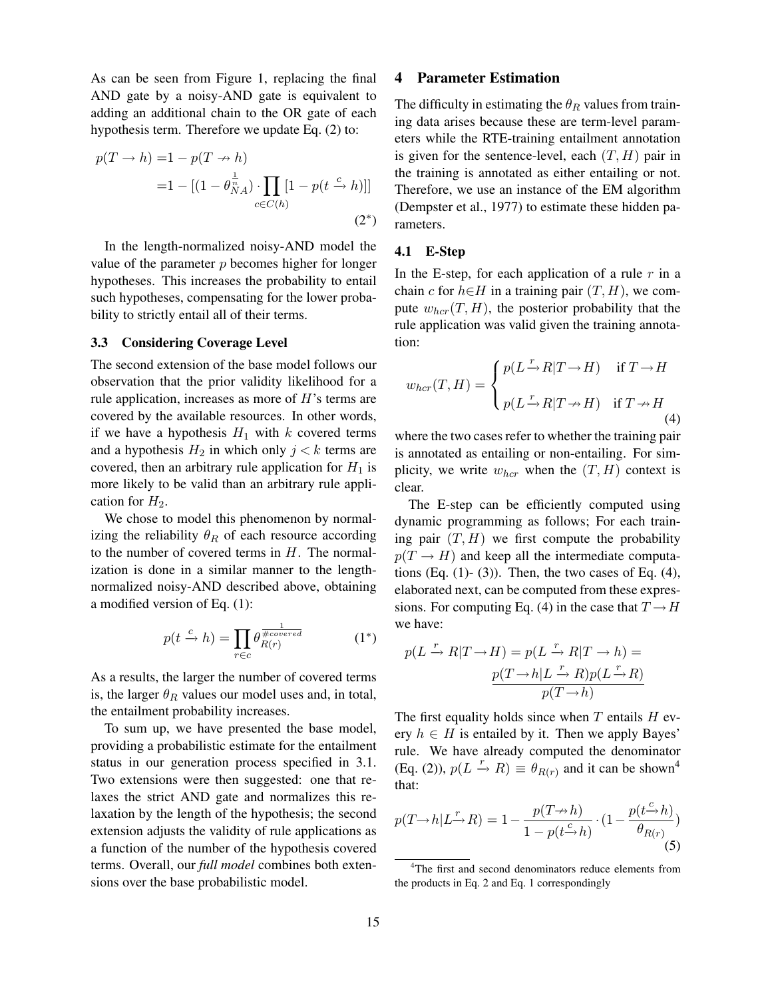As can be seen from Figure 1, replacing the final AND gate by a noisy-AND gate is equivalent to adding an additional chain to the OR gate of each hypothesis term. Therefore we update Eq. (2) to:

$$
p(T \to h) = 1 - p(T \to h)
$$
  
= 1 - [(1 - \theta\_{NA}^{\frac{1}{n}}) \cdot \prod\_{c \in C(h)} [1 - p(t \xrightarrow{c} h)]] (2\*)

In the length-normalized noisy-AND model the value of the parameter  $p$  becomes higher for longer hypotheses. This increases the probability to entail such hypotheses, compensating for the lower probability to strictly entail all of their terms.

#### 3.3 Considering Coverage Level

The second extension of the base model follows our observation that the prior validity likelihood for a rule application, increases as more of  $H$ 's terms are covered by the available resources. In other words, if we have a hypothesis  $H_1$  with k covered terms and a hypothesis  $H_2$  in which only  $j < k$  terms are covered, then an arbitrary rule application for  $H_1$  is more likely to be valid than an arbitrary rule application for  $H_2$ .

We chose to model this phenomenon by normalizing the reliability  $\theta_R$  of each resource according to the number of covered terms in  $H$ . The normalization is done in a similar manner to the lengthnormalized noisy-AND described above, obtaining a modified version of Eq. (1):

$$
p(t \xrightarrow{c} h) = \prod_{r \in c} \theta_{R(r)}^{\frac{1}{\# covered}} \tag{1*}
$$

As a results, the larger the number of covered terms is, the larger  $\theta_R$  values our model uses and, in total, the entailment probability increases.

To sum up, we have presented the base model, providing a probabilistic estimate for the entailment status in our generation process specified in 3.1. Two extensions were then suggested: one that relaxes the strict AND gate and normalizes this relaxation by the length of the hypothesis; the second extension adjusts the validity of rule applications as a function of the number of the hypothesis covered terms. Overall, our *full model* combines both extensions over the base probabilistic model.

## 4 Parameter Estimation

The difficulty in estimating the  $\theta_R$  values from training data arises because these are term-level parameters while the RTE-training entailment annotation is given for the sentence-level, each  $(T, H)$  pair in the training is annotated as either entailing or not. Therefore, we use an instance of the EM algorithm (Dempster et al., 1977) to estimate these hidden parameters.

#### 4.1 E-Step

In the E-step, for each application of a rule  $r$  in a chain c for  $h\in H$  in a training pair  $(T, H)$ , we compute  $w_{\text{hor}}(T, H)$ , the posterior probability that the rule application was valid given the training annotation:

$$
w_{hcr}(T,H) = \begin{cases} p(L - R|T \to H) & \text{if } T \to H \\ p(L - R|T \to H) & \text{if } T \to H \end{cases}
$$
(4)

where the two cases refer to whether the training pair is annotated as entailing or non-entailing. For simplicity, we write  $w_{\text{hor}}$  when the  $(T, H)$  context is clear.

The E-step can be efficiently computed using dynamic programming as follows; For each training pair  $(T, H)$  we first compute the probability  $p(T \rightarrow H)$  and keep all the intermediate computations (Eq.  $(1)$ - $(3)$ ). Then, the two cases of Eq.  $(4)$ , elaborated next, can be computed from these expressions. For computing Eq. (4) in the case that  $T \rightarrow H$ we have:

$$
p(L \xrightarrow{r} R|T \to H) = p(L \xrightarrow{r} R|T \to h) =
$$

$$
\frac{p(T \to h|L \xrightarrow{r} R)p(L \xrightarrow{r} R)}{p(T \to h)}
$$

The first equality holds since when  $T$  entails  $H$  every  $h \in H$  is entailed by it. Then we apply Bayes' rule. We have already computed the denominator (Eq. (2)),  $p(L \xrightarrow{r} R) \equiv \theta_{R(r)}$  and it can be shown<sup>4</sup> that:

$$
p(T \to h | L^{\mathcal{F}} \to R) = 1 - \frac{p(T \to h)}{1 - p(t \to h)} \cdot (1 - \frac{p(t \to h)}{\theta_{R(r)}})
$$
\n(5)

<sup>&</sup>lt;sup>4</sup>The first and second denominators reduce elements from the products in Eq. 2 and Eq. 1 correspondingly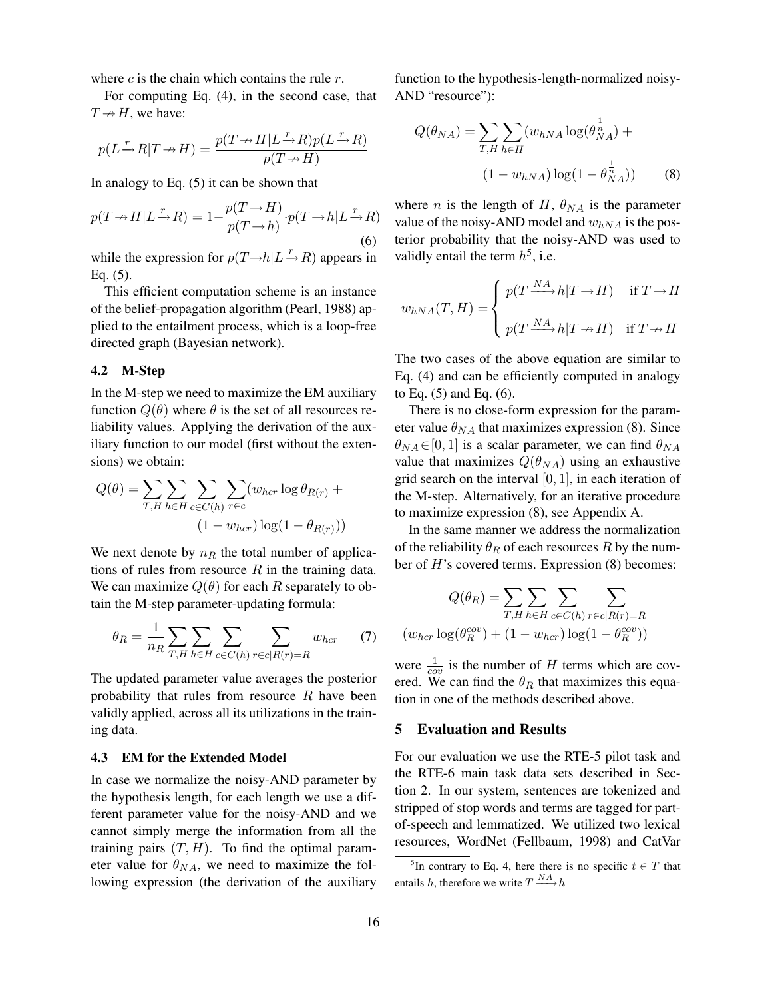where  $c$  is the chain which contains the rule  $r$ .

For computing Eq. (4), in the second case, that  $T \rightarrow H$ , we have:

$$
p(L \xrightarrow{r} R | T \to H) = \frac{p(T \to H | L \xrightarrow{r} R) p(L \xrightarrow{r} R)}{p(T \to H)}
$$

In analogy to Eq. (5) it can be shown that

$$
p(T \to H | L \xrightarrow{r} R) = 1 - \frac{p(T \to H)}{p(T \to h)} \cdot p(T \to h | L \xrightarrow{r} R)
$$
\n(6)

while the expression for  $p(T \rightarrow h | L \stackrel{r}{\rightarrow} R)$  appears in Eq. (5).

This efficient computation scheme is an instance of the belief-propagation algorithm (Pearl, 1988) applied to the entailment process, which is a loop-free directed graph (Bayesian network).

#### 4.2 M-Step

In the M-step we need to maximize the EM auxiliary function  $Q(\theta)$  where  $\theta$  is the set of all resources reliability values. Applying the derivation of the auxiliary function to our model (first without the extensions) we obtain:

$$
Q(\theta) = \sum_{T,H} \sum_{h \in H} \sum_{c \in C(h)} \sum_{r \in c} (w_{hc\tau} \log \theta_{R(r)} +
$$

$$
(1 - w_{hc\tau}) \log(1 - \theta_{R(r)}))
$$

We next denote by  $n_R$  the total number of applications of rules from resource  $R$  in the training data. We can maximize  $Q(\theta)$  for each R separately to obtain the M-step parameter-updating formula:

$$
\theta_R = \frac{1}{n_R} \sum_{T,H} \sum_{h \in H} \sum_{c \in C(h)} \sum_{r \in c \mid R(r) = R} w_{hcr} \tag{7}
$$

The updated parameter value averages the posterior probability that rules from resource  $R$  have been validly applied, across all its utilizations in the training data.

#### 4.3 EM for the Extended Model

In case we normalize the noisy-AND parameter by the hypothesis length, for each length we use a different parameter value for the noisy-AND and we cannot simply merge the information from all the training pairs  $(T, H)$ . To find the optimal parameter value for  $\theta_{NA}$ , we need to maximize the following expression (the derivation of the auxiliary function to the hypothesis-length-normalized noisy-AND "resource"):

$$
Q(\theta_{NA}) = \sum_{T,H} \sum_{h \in H} (w_{hNA} \log(\theta_{NA}^{\frac{1}{n}}) + (1 - w_{hNA}) \log(1 - \theta_{NA}^{\frac{1}{n}}))
$$
(8)

where *n* is the length of H,  $\theta_{NA}$  is the parameter value of the noisy-AND model and  $w_{hNA}$  is the posterior probability that the noisy-AND was used to validly entail the term  $h^5$ , i.e.

$$
w_{hNA}(T, H) = \begin{cases} p(T \xrightarrow{NA} h|T \to H) & \text{if } T \to H \\ p(T \xrightarrow{NA} h|T \to H) & \text{if } T \to H \end{cases}
$$

The two cases of the above equation are similar to Eq. (4) and can be efficiently computed in analogy to Eq. (5) and Eq. (6).

There is no close-form expression for the parameter value  $\theta_{NA}$  that maximizes expression (8). Since  $\theta_{NA} \in [0, 1]$  is a scalar parameter, we can find  $\theta_{NA}$ value that maximizes  $Q(\theta_{NA})$  using an exhaustive grid search on the interval  $[0, 1]$ , in each iteration of the M-step. Alternatively, for an iterative procedure to maximize expression (8), see Appendix A.

In the same manner we address the normalization of the reliability  $\theta_R$  of each resources R by the number of H's covered terms. Expression (8) becomes:

$$
Q(\theta_R) = \sum_{T,H} \sum_{h \in H} \sum_{c \in C(h)} \sum_{r \in c | R(r) = R}
$$

$$
(w_{hcr} \log(\theta_R^{cov}) + (1 - w_{hcr}) \log(1 - \theta_R^{cov}))
$$

were  $\frac{1}{cov}$  is the number of H terms which are covered. We can find the  $\theta_R$  that maximizes this equation in one of the methods described above.

#### 5 Evaluation and Results

For our evaluation we use the RTE-5 pilot task and the RTE-6 main task data sets described in Section 2. In our system, sentences are tokenized and stripped of stop words and terms are tagged for partof-speech and lemmatized. We utilized two lexical resources, WordNet (Fellbaum, 1998) and CatVar

<sup>&</sup>lt;sup>5</sup>In contrary to Eq. 4, here there is no specific  $t \in T$  that entails h, therefore we write  $T \xrightarrow{NA} h$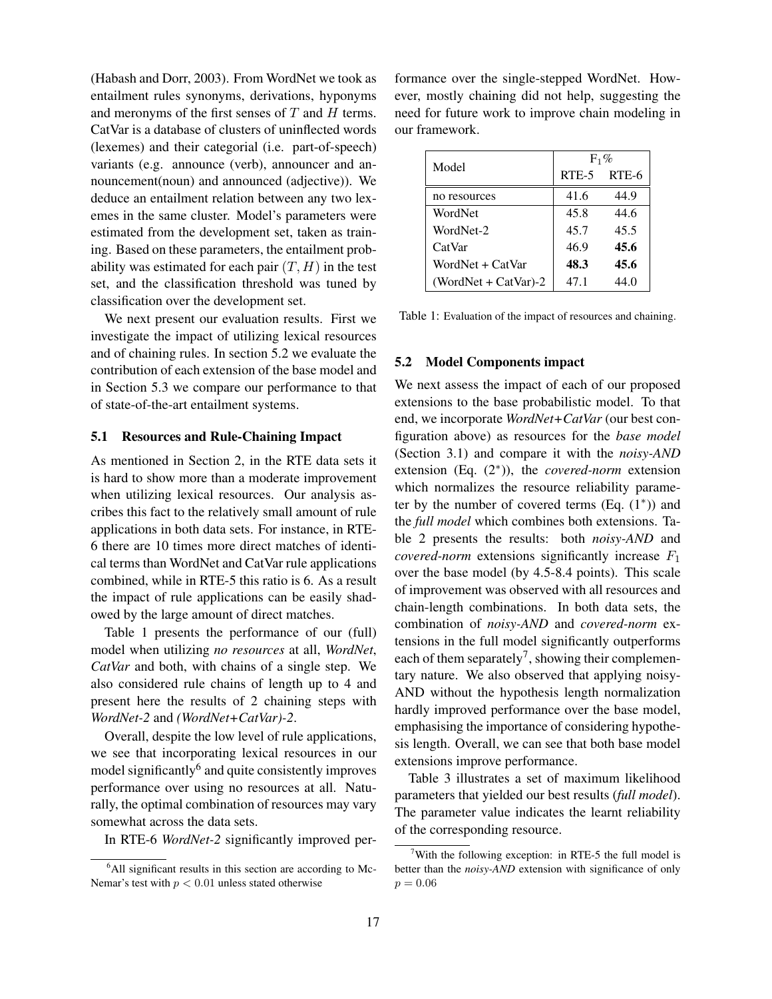(Habash and Dorr, 2003). From WordNet we took as entailment rules synonyms, derivations, hyponyms and meronyms of the first senses of  $T$  and  $H$  terms. CatVar is a database of clusters of uninflected words (lexemes) and their categorial (i.e. part-of-speech) variants (e.g. announce (verb), announcer and announcement(noun) and announced (adjective)). We deduce an entailment relation between any two lexemes in the same cluster. Model's parameters were estimated from the development set, taken as training. Based on these parameters, the entailment probability was estimated for each pair  $(T, H)$  in the test set, and the classification threshold was tuned by classification over the development set.

We next present our evaluation results. First we investigate the impact of utilizing lexical resources and of chaining rules. In section 5.2 we evaluate the contribution of each extension of the base model and in Section 5.3 we compare our performance to that of state-of-the-art entailment systems.

## 5.1 Resources and Rule-Chaining Impact

As mentioned in Section 2, in the RTE data sets it is hard to show more than a moderate improvement when utilizing lexical resources. Our analysis ascribes this fact to the relatively small amount of rule applications in both data sets. For instance, in RTE-6 there are 10 times more direct matches of identical terms than WordNet and CatVar rule applications combined, while in RTE-5 this ratio is 6. As a result the impact of rule applications can be easily shadowed by the large amount of direct matches.

Table 1 presents the performance of our (full) model when utilizing *no resources* at all, *WordNet*, *CatVar* and both, with chains of a single step. We also considered rule chains of length up to 4 and present here the results of 2 chaining steps with *WordNet-2* and *(WordNet+CatVar)-2*.

Overall, despite the low level of rule applications, we see that incorporating lexical resources in our model significantly<sup>6</sup> and quite consistently improves performance over using no resources at all. Naturally, the optimal combination of resources may vary somewhat across the data sets.

In RTE-6 *WordNet-2* significantly improved per-

formance over the single-stepped WordNet. However, mostly chaining did not help, suggesting the need for future work to improve chain modeling in our framework.

| Model                | $F_1\%$ |       |  |
|----------------------|---------|-------|--|
|                      | RTE-5   | RTE-6 |  |
| no resources         | 41.6    | 44.9  |  |
| WordNet              | 45.8    | 44.6  |  |
| WordNet-2            | 45.7    | 45.5  |  |
| CatVar               | 46.9    | 45.6  |  |
| WordNet + CatVar     | 48.3    | 45.6  |  |
| (WordNet + CatVar)-2 | 47.1    | 44.0  |  |

Table 1: Evaluation of the impact of resources and chaining.

## 5.2 Model Components impact

We next assess the impact of each of our proposed extensions to the base probabilistic model. To that end, we incorporate *WordNet+CatVar* (our best configuration above) as resources for the *base model* (Section 3.1) and compare it with the *noisy-AND* extension (Eq. (2<sup>∗</sup> )), the *covered-norm* extension which normalizes the resource reliability parameter by the number of covered terms (Eq. (1<sup>∗</sup> )) and the *full model* which combines both extensions. Table 2 presents the results: both *noisy-AND* and *covered-norm* extensions significantly increase  $F_1$ over the base model (by 4.5-8.4 points). This scale of improvement was observed with all resources and chain-length combinations. In both data sets, the combination of *noisy-AND* and *covered-norm* extensions in the full model significantly outperforms each of them separately<sup>7</sup>, showing their complementary nature. We also observed that applying noisy-AND without the hypothesis length normalization hardly improved performance over the base model, emphasising the importance of considering hypothesis length. Overall, we can see that both base model extensions improve performance.

Table 3 illustrates a set of maximum likelihood parameters that yielded our best results (*full model*). The parameter value indicates the learnt reliability of the corresponding resource.

<sup>&</sup>lt;sup>6</sup>All significant results in this section are according to Mc-Nemar's test with  $p < 0.01$  unless stated otherwise

<sup>&</sup>lt;sup>7</sup>With the following exception: in RTE-5 the full model is better than the *noisy-AND* extension with significance of only  $p = 0.06$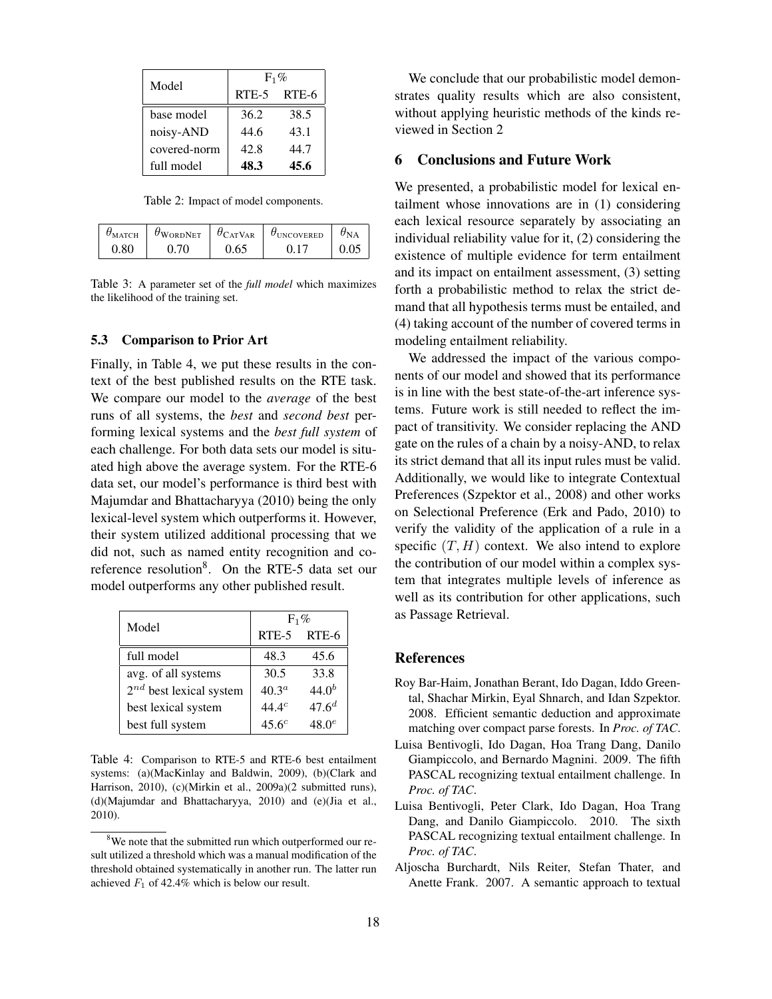| Model        | $F_1\%$ |             |  |
|--------------|---------|-------------|--|
|              |         | RTE-5 RTE-6 |  |
| base model   | 36.2    | 38.5        |  |
| noisy-AND    | 44.6    | 43.1        |  |
| covered-norm | 42.8    | 44.7        |  |
| full model   | 48.3    | 45.6        |  |

Table 2: Impact of model components.

| ИАТСН      | $\sigma_{\text{WORDNET}}$ | $\theta_{\text{CATVAR}}$ | U <sub>UNCOVERED</sub> | $\sigma_{\rm NA}$ |
|------------|---------------------------|--------------------------|------------------------|-------------------|
| $\rm 0.80$ |                           | 0.65                     |                        |                   |

Table 3: A parameter set of the *full model* which maximizes the likelihood of the training set.

## 5.3 Comparison to Prior Art

Finally, in Table 4, we put these results in the context of the best published results on the RTE task. We compare our model to the *average* of the best runs of all systems, the *best* and *second best* performing lexical systems and the *best full system* of each challenge. For both data sets our model is situated high above the average system. For the RTE-6 data set, our model's performance is third best with Majumdar and Bhattacharyya (2010) being the only lexical-level system which outperforms it. However, their system utilized additional processing that we did not, such as named entity recognition and coreference resolution<sup>8</sup>. On the RTE-5 data set our model outperforms any other published result.

| Model                        | $F_1\%$           |            |  |
|------------------------------|-------------------|------------|--|
|                              | $RTE-5$           | RTE-6      |  |
| full model                   | 48.3              | 45.6       |  |
| avg. of all systems          | 30.5              | 33.8       |  |
| $2^{nd}$ best lexical system | $40.3^a$          | $44.0^{b}$ |  |
| best lexical system          | $44.4^c$          | $47.6^{d}$ |  |
| best full system             | 45.6 <sup>c</sup> | $48.0^e$   |  |

Table 4: Comparison to RTE-5 and RTE-6 best entailment systems: (a)(MacKinlay and Baldwin, 2009), (b)(Clark and Harrison, 2010), (c)(Mirkin et al., 2009a)(2 submitted runs), (d)(Majumdar and Bhattacharyya, 2010) and (e)(Jia et al., 2010).

We conclude that our probabilistic model demonstrates quality results which are also consistent, without applying heuristic methods of the kinds reviewed in Section 2

## 6 Conclusions and Future Work

We presented, a probabilistic model for lexical entailment whose innovations are in (1) considering each lexical resource separately by associating an individual reliability value for it, (2) considering the existence of multiple evidence for term entailment and its impact on entailment assessment, (3) setting forth a probabilistic method to relax the strict demand that all hypothesis terms must be entailed, and (4) taking account of the number of covered terms in modeling entailment reliability.

We addressed the impact of the various components of our model and showed that its performance is in line with the best state-of-the-art inference systems. Future work is still needed to reflect the impact of transitivity. We consider replacing the AND gate on the rules of a chain by a noisy-AND, to relax its strict demand that all its input rules must be valid. Additionally, we would like to integrate Contextual Preferences (Szpektor et al., 2008) and other works on Selectional Preference (Erk and Pado, 2010) to verify the validity of the application of a rule in a specific  $(T, H)$  context. We also intend to explore the contribution of our model within a complex system that integrates multiple levels of inference as well as its contribution for other applications, such as Passage Retrieval.

#### References

- Roy Bar-Haim, Jonathan Berant, Ido Dagan, Iddo Greental, Shachar Mirkin, Eyal Shnarch, and Idan Szpektor. 2008. Efficient semantic deduction and approximate matching over compact parse forests. In *Proc. of TAC*.
- Luisa Bentivogli, Ido Dagan, Hoa Trang Dang, Danilo Giampiccolo, and Bernardo Magnini. 2009. The fifth PASCAL recognizing textual entailment challenge. In *Proc. of TAC*.
- Luisa Bentivogli, Peter Clark, Ido Dagan, Hoa Trang Dang, and Danilo Giampiccolo. 2010. The sixth PASCAL recognizing textual entailment challenge. In *Proc. of TAC*.
- Aljoscha Burchardt, Nils Reiter, Stefan Thater, and Anette Frank. 2007. A semantic approach to textual

<sup>&</sup>lt;sup>8</sup>We note that the submitted run which outperformed our result utilized a threshold which was a manual modification of the threshold obtained systematically in another run. The latter run achieved  $F_1$  of 42.4% which is below our result.